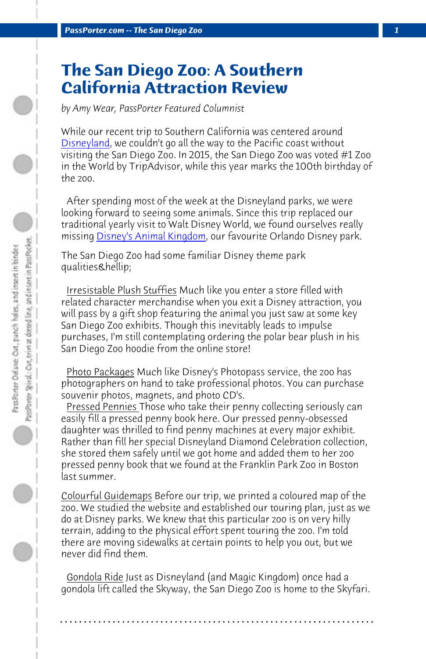**PassPorter.com -- The San Diego Zoo** 

## **The San Diego Zoo: A Southern California Attraction Review**

*by Amy Wear, PassPorter Featured Columnist*

While our recent trip to Southern California was centered around Disneyland, we couldn't go all the way to the Pacific coast without visiting the San Diego Zoo. In 2015, the San Diego Zoo was voted #1 Zoo in the World by TripAdvisor, while this year marks the 100th birthday of the zoo.

 After spending most of the week at the Disneyland parks, we were looking forward to seeing some animals. Since this trip replaced our traditional yearly visit to Walt Disney World, we found ourselves really missing Disney's Animal Kingdom, our favourite Orlando Disney park.

The San Diego Zoo had some familiar Disney theme park qualities…

 Irresistable Plush Stuffies Much like you enter a store filled with related character merchandise when you exit a Disney attraction, you will pass by a gift shop featuring the animal you just saw at some key San Diego Zoo exhibits. Though this inevitably leads to impulse purchases, I'm still contemplating ordering the polar bear plush in his San Diego Zoo hoodie from the online store!

 Photo Packages Much like Disney's Photopass service, the zoo has photographers on hand to take professional photos. You can purchase souvenir photos, magnets, and photo CD's.

 Pressed Pennies Those who take their penny collecting seriously can easily fill a pressed penny book here. Our pressed penny-obsessed daughter was thrilled to find penny machines at every major exhibit. Rather than fill her special Disneyland Diamond Celebration collection, she stored them safely until we got home and added them to her zoo pressed penny book that we found at the Franklin Park Zoo in Boston last summer.

Colourful Guidemaps Before our trip, we printed a coloured map of the zoo. We studied the website and established our touring plan, just as we do at Disney parks. We knew that this particular zoo is on very hilly terrain, adding to the physical effort spent touring the zoo. I'm told there are moving sidewalks at certain points to help you out, but we never did find them.

 Gondola Ride Just as Disneyland (and Magic Kingdom) once had a gondola lift called the Skyway, the San Diego Zoo is home to the Skyfari.

**. . . . . . . . . . . . . . . . . . . . . . . . . . . . . . . . . . . . . . . . . . . . . . . . . . . . . . . . . . . . . . . . . .**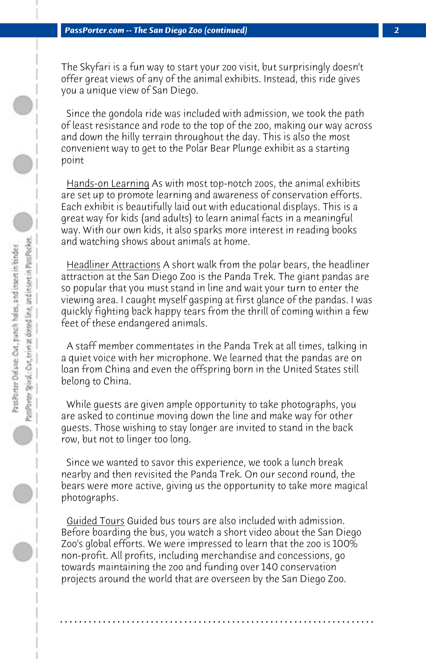The Skyfari is a fun way to start your zoo visit, but surprisingly doesn't offer great views of any of the animal exhibits. Instead, this ride gives you a unique view of San Diego.

 Since the gondola ride was included with admission, we took the path of least resistance and rode to the top of the zoo, making our way across and down the hilly terrain throughout the day. This is also the most convenient way to get to the Polar Bear Plunge exhibit as a starting point

 Hands-on Learning As with most top-notch zoos, the animal exhibits are set up to promote learning and awareness of conservation efforts. Each exhibit is beautifully laid out with educational displays. This is a great way for kids (and adults) to learn animal facts in a meaningful way. With our own kids, it also sparks more interest in reading books and watching shows about animals at home.

 Headliner Attractions A short walk from the polar bears, the headliner attraction at the San Diego Zoo is the Panda Trek. The giant pandas are so popular that you must stand in line and wait your turn to enter the viewing area. I caught myself gasping at first glance of the pandas. I was quickly fighting back happy tears from the thrill of coming within a few feet of these endangered animals.

 A staff member commentates in the Panda Trek at all times, talking in a quiet voice with her microphone. We learned that the pandas are on loan from China and even the offspring born in the United States still belong to China.

 While guests are given ample opportunity to take photographs, you are asked to continue moving down the line and make way for other guests. Those wishing to stay longer are invited to stand in the back row, but not to linger too long.

 Since we wanted to savor this experience, we took a lunch break nearby and then revisited the Panda Trek. On our second round, the bears were more active, giving us the opportunity to take more magical photographs.

 Guided Tours Guided bus tours are also included with admission. Before boarding the bus, you watch a short video about the San Diego Zoo's global efforts. We were impressed to learn that the zoo is 100% non-profit. All profits, including merchandise and concessions, go towards maintaining the zoo and funding over 140 conservation projects around the world that are overseen by the San Diego Zoo.

**. . . . . . . . . . . . . . . . . . . . . . . . . . . . . . . . . . . . . . . . . . . . . . . . . . . . . . . . . . . . . . . . . .**